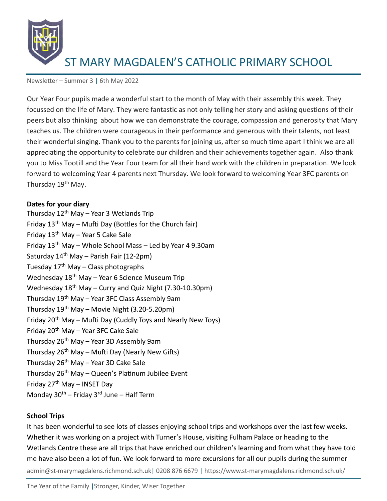

Newsletter – Summer 3 | 6th May 2022

Our Year Four pupils made a wonderful start to the month of May with their assembly this week. They focussed on the life of Mary. They were fantastic as not only telling her story and asking questions of their peers but also thinking about how we can demonstrate the courage, compassion and generosity that Mary teaches us. The children were courageous in their performance and generous with their talents, not least their wonderful singing. Thank you to the parents for joining us, after so much time apart I think we are all appreciating the opportunity to celebrate our children and their achievements together again. Also thank you to Miss Tootill and the Year Four team for all their hard work with the children in preparation. We look forward to welcoming Year 4 parents next Thursday. We look forward to welcoming Year 3FC parents on Thursday 19<sup>th</sup> May.

#### **Dates for your diary**

Thursday 12<sup>th</sup> May – Year 3 Wetlands Trip Friday  $13<sup>th</sup>$  May – Mufti Day (Bottles for the Church fair) Friday  $13<sup>th</sup>$  May – Year 5 Cake Sale Friday 13th May – Whole School Mass – Led by Year 4 9.30am Saturday  $14<sup>th</sup>$  May – Parish Fair (12-2pm) Tuesday  $17<sup>th</sup>$  May – Class photographs Wednesday  $18<sup>th</sup>$  May – Year 6 Science Museum Trip Wednesday  $18^{th}$  May – Curry and Quiz Night (7.30-10.30pm) Thursday 19th May – Year 3FC Class Assembly 9am Thursday 19th May – Movie Night (3.20-5.20pm) Friday  $20<sup>th</sup>$  May – Mufti Day (Cuddly Toys and Nearly New Toys) Friday 20<sup>th</sup> May - Year 3FC Cake Sale Thursday  $26<sup>th</sup>$  May – Year 3D Assembly 9am Thursday  $26<sup>th</sup>$  May – Mufti Day (Nearly New Gifts) Thursday  $26<sup>th</sup>$  May – Year 3D Cake Sale Thursday 26<sup>th</sup> May – Queen's Platinum Jubilee Event Friday  $27<sup>th</sup>$  May – INSET Day Monday  $30<sup>th</sup>$  – Friday 3<sup>rd</sup> June – Half Term

#### **School Trips**

admin@st-marymagdalens.richmond.sch.uk| 0208 876 6679 | https://www.st-marymagdalens.richmond.sch.uk/ It has been wonderful to see lots of classes enjoying school trips and workshops over the last few weeks. Whether it was working on a project with Turner's House, visiting Fulham Palace or heading to the Wetlands Centre these are all trips that have enriched our children's learning and from what they have told me have also been a lot of fun. We look forward to more excursions for all our pupils during the summer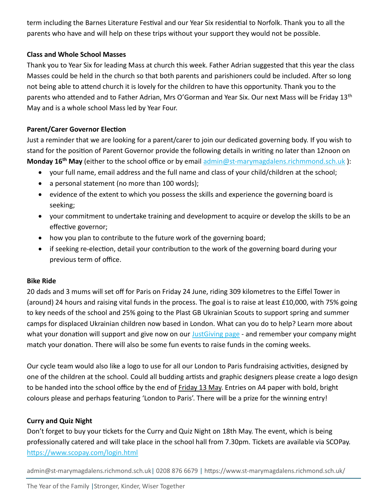term including the Barnes Literature Festival and our Year Six residential to Norfolk. Thank you to all the parents who have and will help on these trips without your support they would not be possible.

## **Class and Whole School Masses**

Thank you to Year Six for leading Mass at church this week. Father Adrian suggested that this year the class Masses could be held in the church so that both parents and parishioners could be included. After so long not being able to attend church it is lovely for the children to have this opportunity. Thank you to the parents who attended and to Father Adrian, Mrs O'Gorman and Year Six. Our next Mass will be Friday 13<sup>th</sup> May and is a whole school Mass led by Year Four.

## **Parent/Carer Governor Election**

Just a reminder that we are looking for a parent/carer to join our dedicated governing body. If you wish to stand for the position of Parent Governor provide the following details in writing no later than 12noon on **Monday 16th May** (either to the school office or by email [admin@st-marymagdalens.richmmond.sch.uk](mailto:admin@st-marymagdalens.richmmond.sch.uk) ):

- your full name, email address and the full name and class of your child/children at the school;
- a personal statement (no more than 100 words);
- evidence of the extent to which you possess the skills and experience the governing board is seeking;
- your commitment to undertake training and development to acquire or develop the skills to be an effective governor;
- how you plan to contribute to the future work of the governing board;
- if seeking re-election, detail your contribution to the work of the governing board during your previous term of office.

## **Bike Ride**

20 dads and 3 mums will set off for Paris on Friday 24 June, riding 309 kilometres to the Eiffel Tower in (around) 24 hours and raising vital funds in the process. The goal is to raise at least £10,000, with 75% going to key needs of the school and 25% going to the Plast GB Ukrainian Scouts to support spring and summer camps for displaced Ukrainian children now based in London. What can you do to help? Learn more about what your donation will support and give now on our [JustGiving page](https://www.justgiving.com/crowdfunding/l2p-bike-ride-2022) - and remember your company might match your donation. There will also be some fun events to raise funds in the coming weeks.

Our cycle team would also like a logo to use for all our London to Paris fundraising activities, designed by one of the children at the school. Could all budding artists and graphic designers please create a logo design to be handed into the school office by the end of Friday 13 May. Entries on A4 paper with bold, bright colours please and perhaps featuring 'London to Paris'. There will be a prize for the winning entry!

# **Curry and Quiz Night**

Don't forget to buy your tickets for the Curry and Quiz Night on 18th May. The event, which is being professionally catered and will take place in the school hall from 7.30pm. Tickets are available via SCOPay. <https://www.scopay.com/login.html>

admin@st-marymagdalens.richmond.sch.uk| 0208 876 6679 | https://www.st-marymagdalens.richmond.sch.uk/